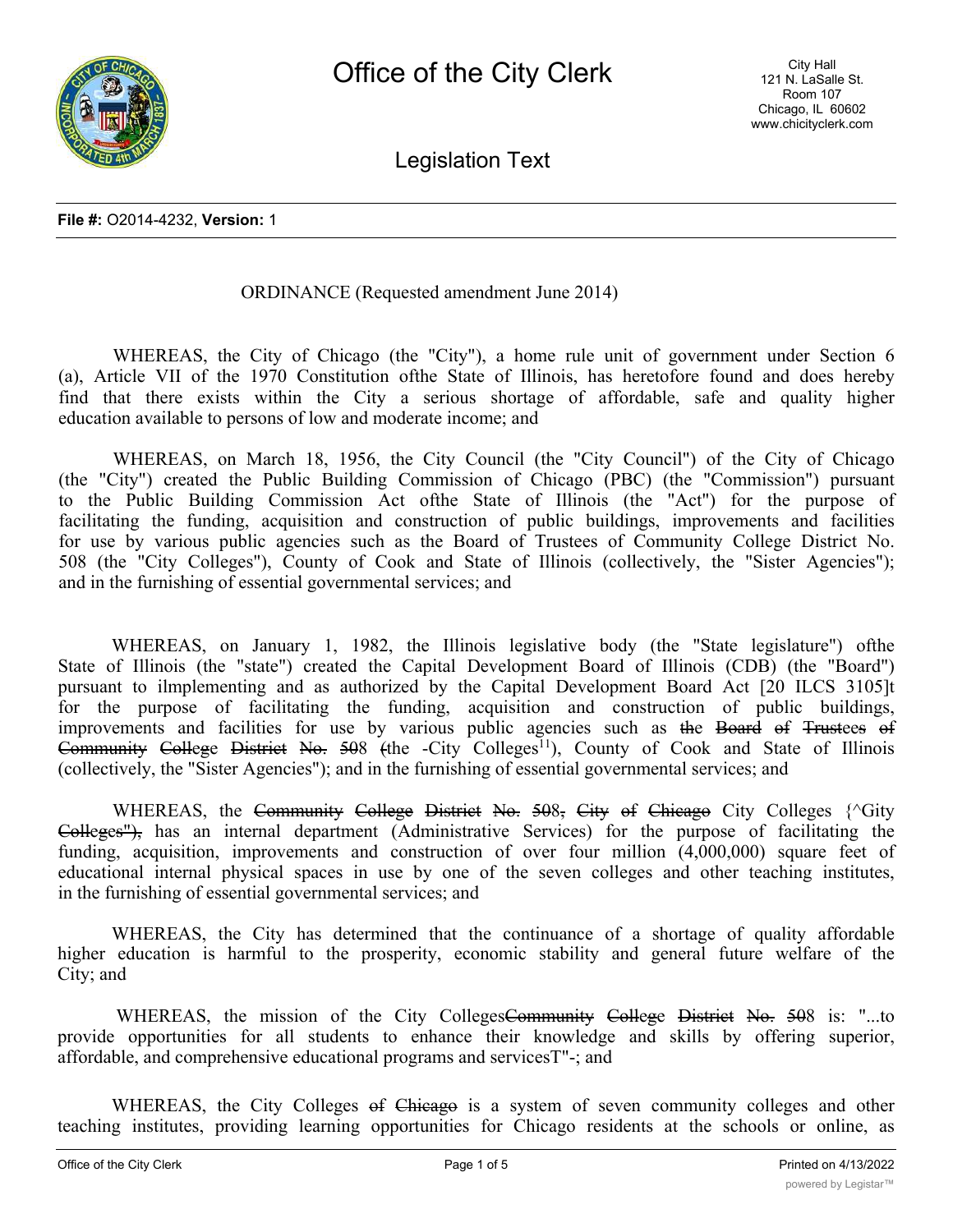

Legislation Text

### ORDINANCE (Requested amendment June 2014)

WHEREAS, the City of Chicago (the "City"), a home rule unit of government under Section 6 (a), Article VII of the 1970 Constitution ofthe State of Illinois, has heretofore found and does hereby find that there exists within the City a serious shortage of affordable, safe and quality higher education available to persons of low and moderate income; and

WHEREAS, on March 18, 1956, the City Council (the "City Council") of the City of Chicago (the "City") created the Public Building Commission of Chicago (PBC) (the "Commission") pursuant to the Public Building Commission Act ofthe State of Illinois (the "Act") for the purpose of facilitating the funding, acquisition and construction of public buildings, improvements and facilities for use by various public agencies such as the Board of Trustees of Community College District No. 508 (the "City Colleges"), County of Cook and State of Illinois (collectively, the "Sister Agencies"); and in the furnishing of essential governmental services; and

WHEREAS, on January 1, 1982, the Illinois legislative body (the "State legislature") ofthe State of Illinois (the "state") created the Capital Development Board of Illinois (CDB) (the "Board") pursuant to ilmplementing and as authorized by the Capital Development Board Act [20 ILCS 3105]t for the purpose of facilitating the funding, acquisition and construction of public buildings, improvements and facilities for use by various public agencies such as the Board of Trustees of Community College District No. 508 (the -City Colleges<sup>11</sup>), County of Cook and State of Illinois (collectively, the "Sister Agencies"); and in the furnishing of essential governmental services; and

WHEREAS, the Community College District No. 508, City of Chicago City Colleges {^Gity Colleges"), has an internal department (Administrative Services) for the purpose of facilitating the funding, acquisition, improvements and construction of over four million (4,000,000) square feet of educational internal physical spaces in use by one of the seven colleges and other teaching institutes, in the furnishing of essential governmental services; and

WHEREAS, the City has determined that the continuance of a shortage of quality affordable higher education is harmful to the prosperity, economic stability and general future welfare of the City; and

WHEREAS, the mission of the City CollegesCommunity College District No. 508 is: "...to provide opportunities for all students to enhance their knowledge and skills by offering superior, affordable, and comprehensive educational programs and servicesT"-; and

WHEREAS, the City Colleges of Chicago is a system of seven community colleges and other teaching institutes, providing learning opportunities for Chicago residents at the schools or online, as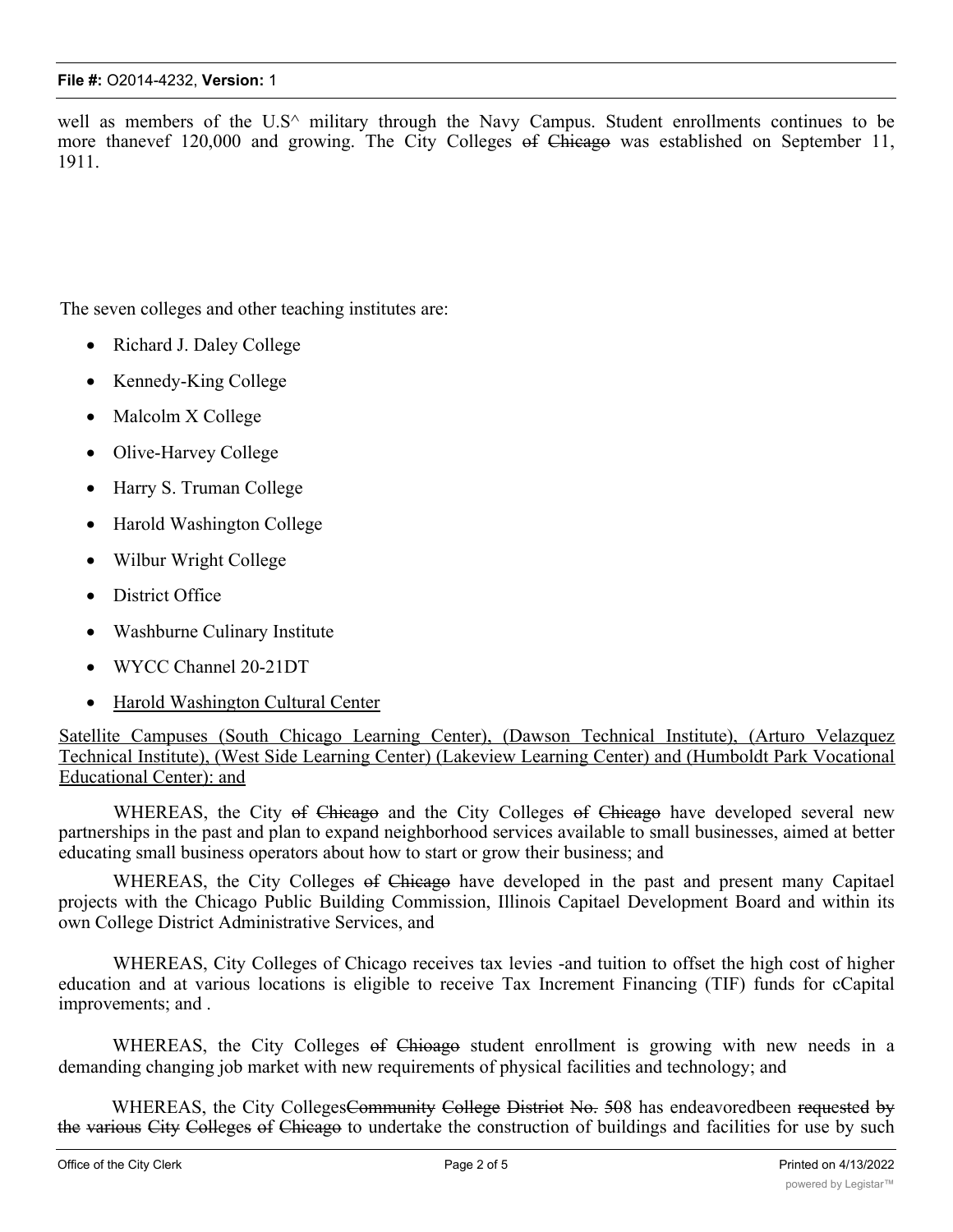well as members of the U.S<sup> $\land$ </sup> military through the Navy Campus. Student enrollments continues to be more thanevef 120,000 and growing. The City Colleges of Chicago was established on September 11, 1911.

The seven colleges and other teaching institutes are:

- Richard J. Daley College
- Kennedy-King College
- Malcolm X College
- Olive-Harvey College
- Harry S. Truman College
- · Harold Washington College
- Wilbur Wright College
- District Office
- Washburne Culinary Institute
- · WYCC Channel 20-21DT
- Harold Washington Cultural Center

Satellite Campuses (South Chicago Learning Center), (Dawson Technical Institute), (Arturo Velazquez Technical Institute), (West Side Learning Center) (Lakeview Learning Center) and (Humboldt Park Vocational Educational Center): and

WHEREAS, the City of Chicago and the City Colleges of Chicago have developed several new partnerships in the past and plan to expand neighborhood services available to small businesses, aimed at better educating small business operators about how to start or grow their business; and

WHEREAS, the City Colleges of Chicago have developed in the past and present many Capitael projects with the Chicago Public Building Commission, Illinois Capitael Development Board and within its own College District Administrative Services, and

WHEREAS, City Colleges of Chicago receives tax levies -and tuition to offset the high cost of higher education and at various locations is eligible to receive Tax Increment Financing (TIF) funds for cCapital improvements; and .

WHEREAS, the City Colleges of Chioago student enrollment is growing with new needs in a demanding changing job market with new requirements of physical facilities and technology; and

WHEREAS, the City Colleges<del>Community College Distriot No. 50</del>8 has endeavoredbeen requested by the various City Colleges of Chicago to undertake the construction of buildings and facilities for use by such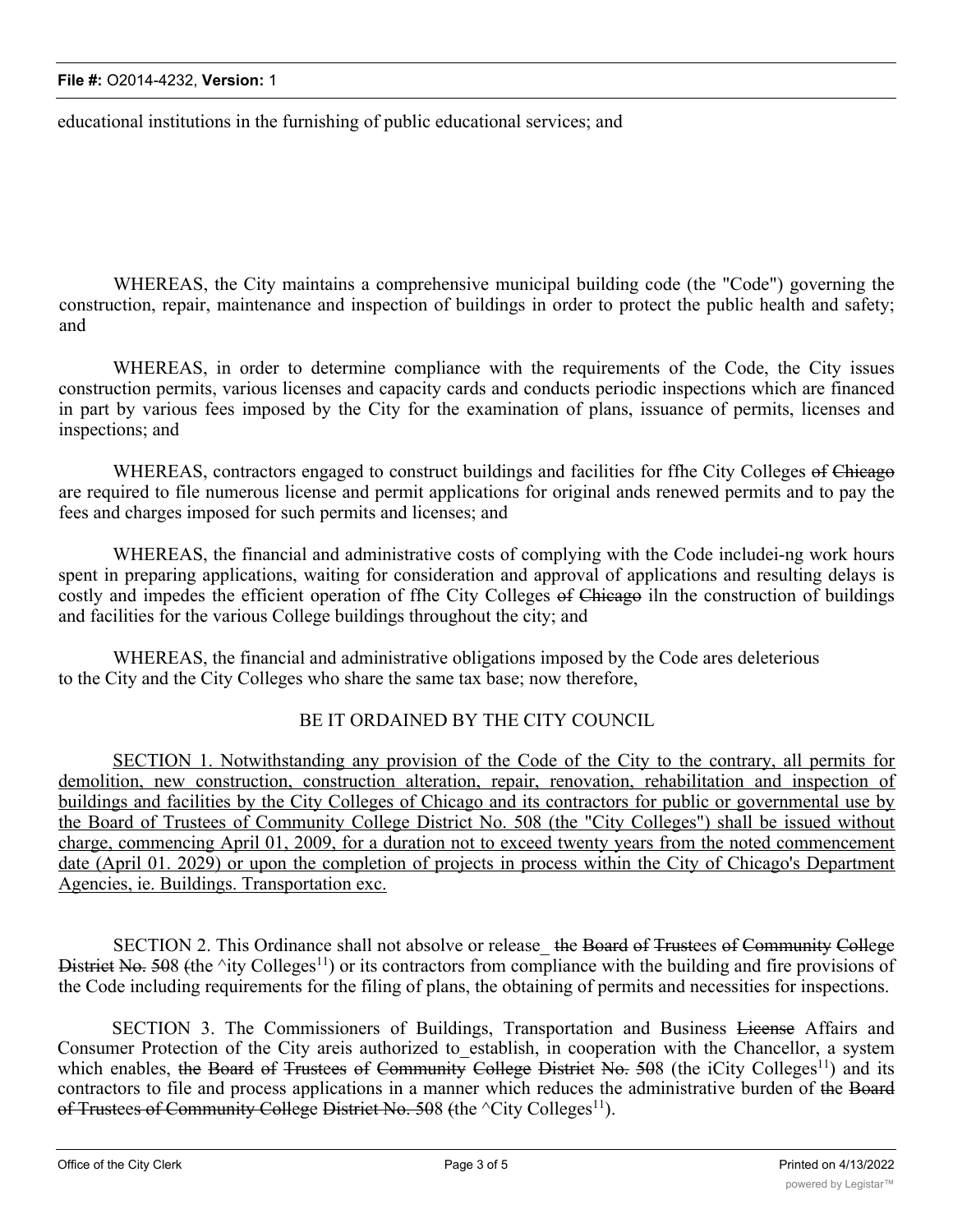educational institutions in the furnishing of public educational services; and

WHEREAS, the City maintains a comprehensive municipal building code (the "Code") governing the construction, repair, maintenance and inspection of buildings in order to protect the public health and safety; and

WHEREAS, in order to determine compliance with the requirements of the Code, the City issues construction permits, various licenses and capacity cards and conducts periodic inspections which are financed in part by various fees imposed by the City for the examination of plans, issuance of permits, licenses and inspections; and

WHEREAS, contractors engaged to construct buildings and facilities for ffhe City Colleges of Chicago are required to file numerous license and permit applications for original ands renewed permits and to pay the fees and charges imposed for such permits and licenses; and

WHEREAS, the financial and administrative costs of complying with the Code includei-ng work hours spent in preparing applications, waiting for consideration and approval of applications and resulting delays is costly and impedes the efficient operation of ffhe City Colleges of Chicago iln the construction of buildings and facilities for the various College buildings throughout the city; and

WHEREAS, the financial and administrative obligations imposed by the Code ares deleterious to the City and the City Colleges who share the same tax base; now therefore,

## BE IT ORDAINED BY THE CITY COUNCIL

SECTION 1. Notwithstanding any provision of the Code of the City to the contrary, all permits for demolition, new construction, construction alteration, repair, renovation, rehabilitation and inspection of buildings and facilities by the City Colleges of Chicago and its contractors for public or governmental use by the Board of Trustees of Community College District No. 508 (the "City Colleges") shall be issued without charge, commencing April 01, 2009, for a duration not to exceed twenty years from the noted commencement date (April 01. 2029) or upon the completion of projects in process within the City of Chicago's Department Agencies, ie. Buildings. Transportation exc.

SECTION 2. This Ordinance shall not absolve or release the Board of Trustees of Community College District No. 508 (the  $\text{ity College}^{11}$ ) or its contractors from compliance with the building and fire provisions of the Code including requirements for the filing of plans, the obtaining of permits and necessities for inspections.

SECTION 3. The Commissioners of Buildings, Transportation and Business License Affairs and Consumer Protection of the City areis authorized to establish, in cooperation with the Chancellor, a system which enables, the Board of Trustees of Community College District No. 508 (the iCity Colleges<sup>11</sup>) and its contractors to file and process applications in a manner which reduces the administrative burden of the Board of Trustees of Community College District No. 508 (the  $\textdegree$ City Colleges<sup>11</sup>).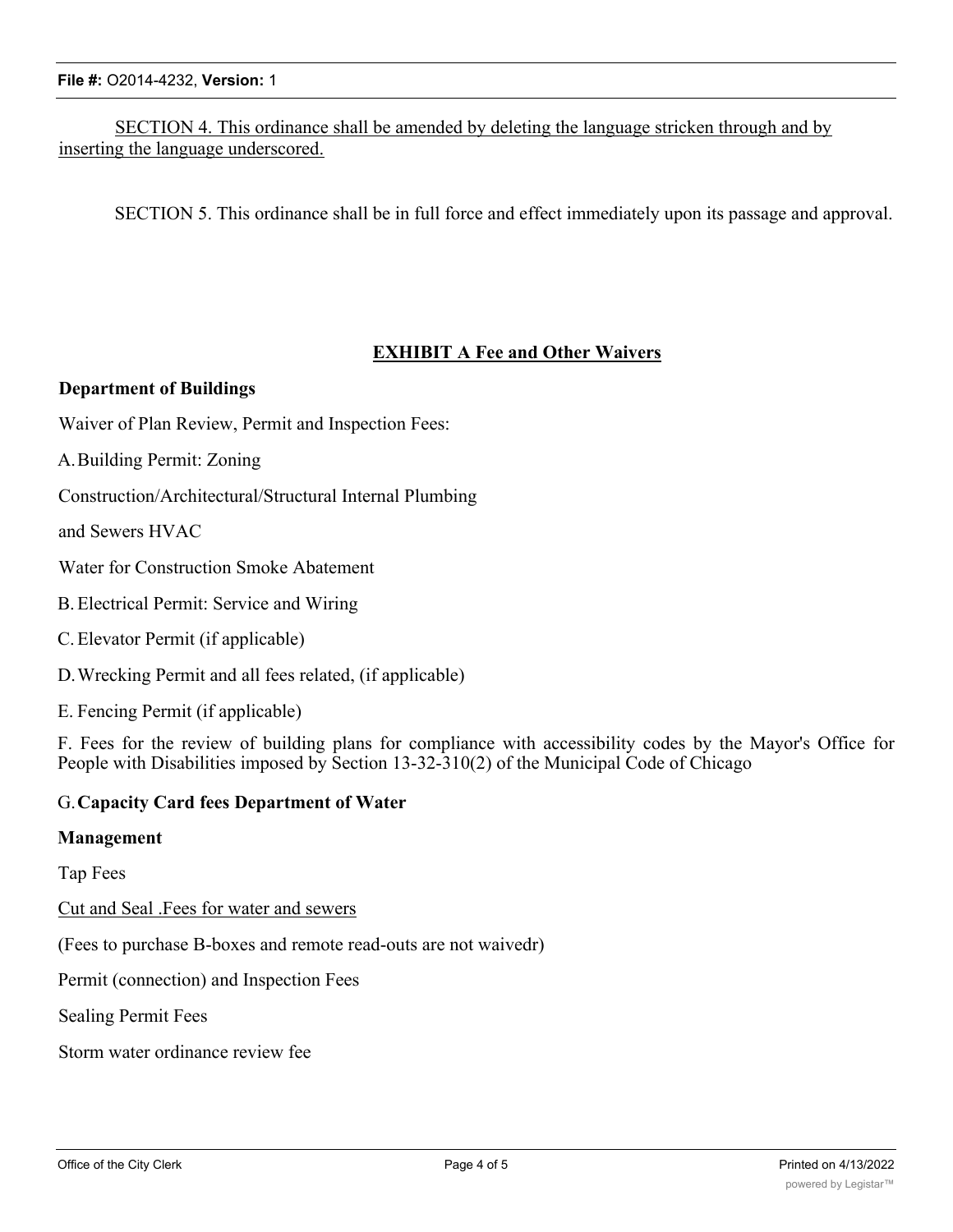# SECTION 4. This ordinance shall be amended by deleting the language stricken through and by inserting the language underscored.

SECTION 5. This ordinance shall be in full force and effect immediately upon its passage and approval.

### **EXHIBIT A Fee and Other Waivers**

#### **Department of Buildings**

Waiver of Plan Review, Permit and Inspection Fees:

A.Building Permit: Zoning

Construction/Architectural/Structural Internal Plumbing

and Sewers HVAC

Water for Construction Smoke Abatement

- B.Electrical Permit: Service and Wiring
- C.Elevator Permit (if applicable)

D.Wrecking Permit and all fees related, (if applicable)

E. Fencing Permit (if applicable)

F. Fees for the review of building plans for compliance with accessibility codes by the Mayor's Office for People with Disabilities imposed by Section 13-32-310(2) of the Municipal Code of Chicago

#### G.**Capacity Card fees Department of Water**

#### **Management**

Tap Fees

Cut and Seal .Fees for water and sewers

(Fees to purchase B-boxes and remote read-outs are not waivedr)

Permit (connection) and Inspection Fees

Sealing Permit Fees

Storm water ordinance review fee